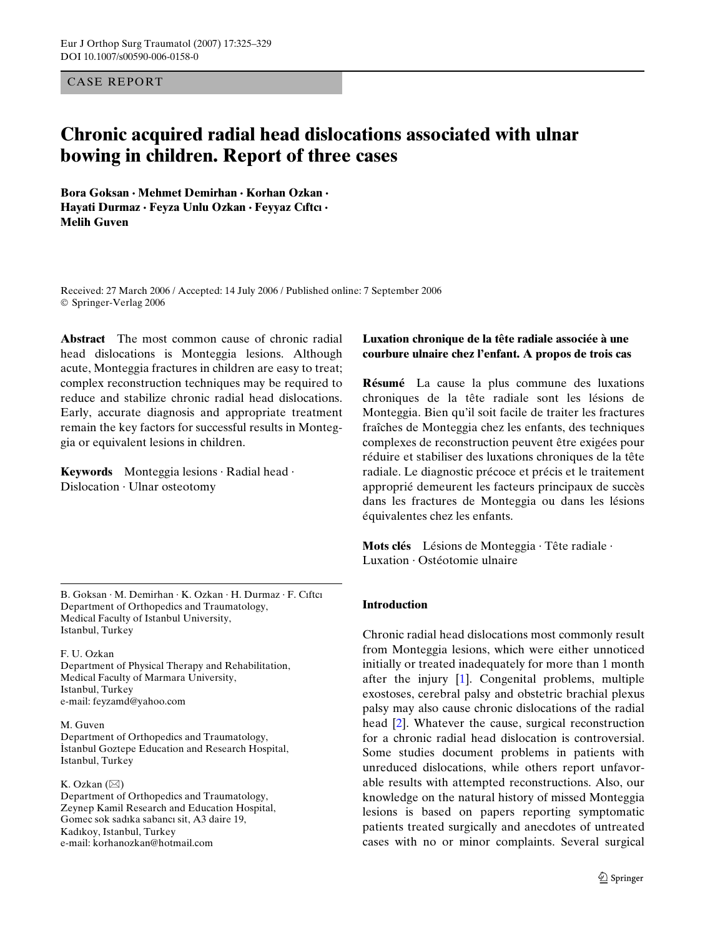CASE REPORT

# **Chronic acquired radial head dislocations associated with ulnar bowing in children. Report of three cases**

**Bora Goksan · Mehmet Demirhan · Korhan Ozkan · Hayati Durmaz · Feyza Unlu Ozkan · Feyyaz Cıftcı · Melih Guven** 

Received: 27 March 2006 / Accepted: 14 July 2006 / Published online: 7 September 2006 © Springer-Verlag 2006

**Abstract** The most common cause of chronic radial head dislocations is Monteggia lesions. Although acute, Monteggia fractures in children are easy to treat; complex reconstruction techniques may be required to reduce and stabilize chronic radial head dislocations. Early, accurate diagnosis and appropriate treatment remain the key factors for successful results in Monteggia or equivalent lesions in children.

**Keywords** Monteggia lesions · Radial head · Dislocation · Ulnar osteotomy

B. Goksan · M. Demirhan · K. Ozkan · H. Durmaz · F. Cıftcı Department of Orthopedics and Traumatology, Medical Faculty of Istanbul University, Istanbul, Turkey

F. U. Ozkan Department of Physical Therapy and Rehabilitation, Medical Faculty of Marmara University, Istanbul, Turkey e-mail: feyzamd@yahoo.com

M. Guven Department of Orthopedics and Traumatology, İstanbul Goztepe Education and Research Hospital, Istanbul, Turkey

K. Ozkan  $(\boxtimes)$ Department of Orthopedics and Traumatology, Zeynep Kamil Research and Education Hospital, Gomec sok sadıka sabancı sit, A3 daire 19, Kadıkoy, Istanbul, Turkey e-mail: korhanozkan@hotmail.com

## **Luxation chronique de la tête radiale associée à une courbure ulnaire chez l'enfant. A propos de trois cas**

**Résumé** La cause la plus commune des luxations chroniques de la tête radiale sont les lésions de Monteggia. Bien qu'il soit facile de traiter les fractures fraîches de Monteggia chez les enfants, des techniques complexes de reconstruction peuvent être exigées pour réduire et stabiliser des luxations chroniques de la tête radiale. Le diagnostic précoce et précis et le traitement approprié demeurent les facteurs principaux de succès dans les fractures de Monteggia ou dans les lésions équivalentes chez les enfants.

**Mots clés** Lésions de Monteggia · Tête radiale · Luxation · Ostéotomie ulnaire

#### **Introduction**

Chronic radial head dislocations most commonly result from Monteggia lesions, which were either unnoticed initially or treated inadequately for more than 1 month after the injury [\[1](#page-3-0)]. Congenital problems, multiple exostoses, cerebral palsy and obstetric brachial plexus palsy may also cause chronic dislocations of the radial head [[2\]](#page-3-1). Whatever the cause, surgical reconstruction for a chronic radial head dislocation is controversial. Some studies document problems in patients with unreduced dislocations, while others report unfavorable results with attempted reconstructions. Also, our knowledge on the natural history of missed Monteggia lesions is based on papers reporting symptomatic patients treated surgically and anecdotes of untreated cases with no or minor complaints. Several surgical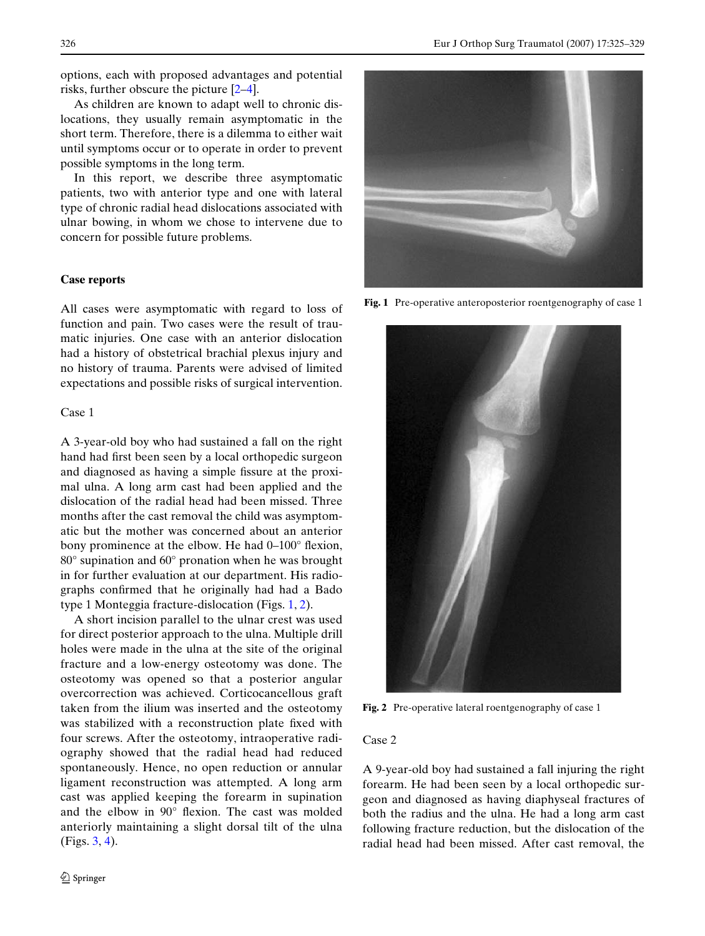options, each with proposed advantages and potential risks, further obscure the picture [\[2](#page-3-1)[–4](#page-3-2)].

As children are known to adapt well to chronic dislocations, they usually remain asymptomatic in the short term. Therefore, there is a dilemma to either wait until symptoms occur or to operate in order to prevent possible symptoms in the long term.

In this report, we describe three asymptomatic patients, two with anterior type and one with lateral type of chronic radial head dislocations associated with ulnar bowing, in whom we chose to intervene due to concern for possible future problems.

# **Case reports**

All cases were asymptomatic with regard to loss of function and pain. Two cases were the result of traumatic injuries. One case with an anterior dislocation had a history of obstetrical brachial plexus injury and no history of trauma. Parents were advised of limited expectations and possible risks of surgical intervention.

### Case 1

A 3-year-old boy who had sustained a fall on the right hand had first been seen by a local orthopedic surgeon and diagnosed as having a simple fissure at the proximal ulna. A long arm cast had been applied and the dislocation of the radial head had been missed. Three months after the cast removal the child was asymptomatic but the mother was concerned about an anterior bony prominence at the elbow. He had  $0-100^\circ$  flexion, 80° supination and 60° pronation when he was brought in for further evaluation at our department. His radiographs confirmed that he originally had had a Bado type 1 Monteggia fracture-dislocation (Figs. [1](#page-1-0), [2](#page-1-1)).

A short incision parallel to the ulnar crest was used for direct posterior approach to the ulna. Multiple drill holes were made in the ulna at the site of the original fracture and a low-energy osteotomy was done. The osteotomy was opened so that a posterior angular overcorrection was achieved. Corticocancellous graft taken from the ilium was inserted and the osteotomy was stabilized with a reconstruction plate fixed with four screws. After the osteotomy, intraoperative radiography showed that the radial head had reduced spontaneously. Hence, no open reduction or annular ligament reconstruction was attempted. A long arm cast was applied keeping the forearm in supination and the elbow in 90° flexion. The cast was molded anteriorly maintaining a slight dorsal tilt of the ulna (Figs. [3](#page-2-0), [4](#page-2-1)).



**Fig. 1** Pre-operative anteroposterior roentgenography of case 1

<span id="page-1-0"></span>

**Fig. 2** Pre-operative lateral roentgenography of case 1

#### <span id="page-1-1"></span>Case 2

A 9-year-old boy had sustained a fall injuring the right forearm. He had been seen by a local orthopedic surgeon and diagnosed as having diaphyseal fractures of both the radius and the ulna. He had a long arm cast following fracture reduction, but the dislocation of the radial head had been missed. After cast removal, the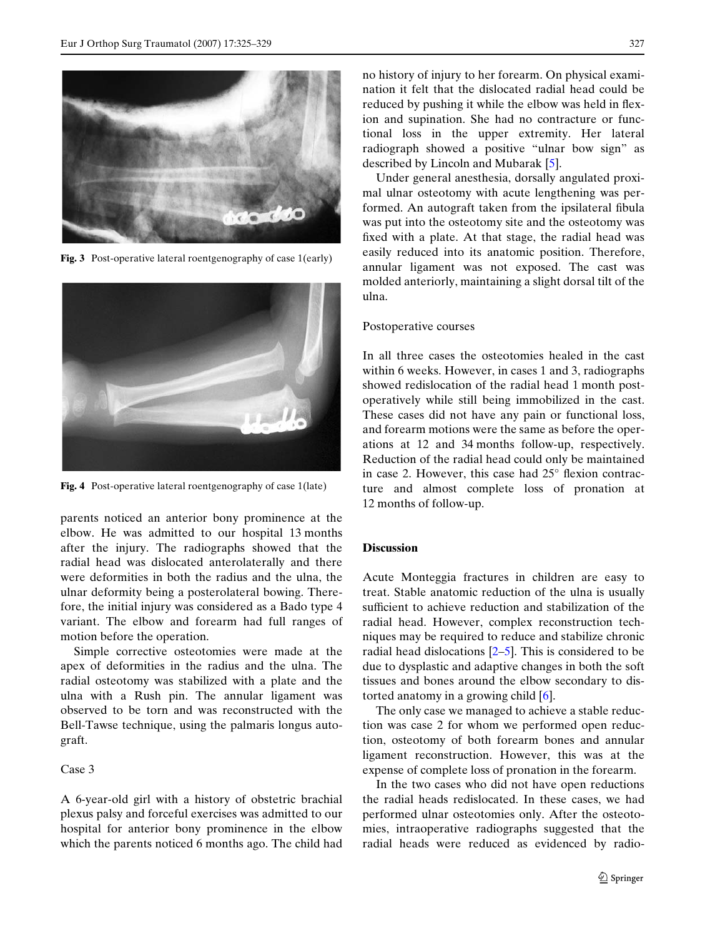

**Fig. 3** Post-operative lateral roentgenography of case 1(early)

<span id="page-2-0"></span>

**Fig. 4** Post-operative lateral roentgenography of case 1(late)

<span id="page-2-1"></span>parents noticed an anterior bony prominence at the elbow. He was admitted to our hospital 13 months after the injury. The radiographs showed that the radial head was dislocated anterolaterally and there were deformities in both the radius and the ulna, the ulnar deformity being a posterolateral bowing. Therefore, the initial injury was considered as a Bado type 4 variant. The elbow and forearm had full ranges of motion before the operation.

Simple corrective osteotomies were made at the apex of deformities in the radius and the ulna. The radial osteotomy was stabilized with a plate and the ulna with a Rush pin. The annular ligament was observed to be torn and was reconstructed with the Bell-Tawse technique, using the palmaris longus autograft.

#### Case 3

A 6-year-old girl with a history of obstetric brachial plexus palsy and forceful exercises was admitted to our hospital for anterior bony prominence in the elbow which the parents noticed 6 months ago. The child had no history of injury to her forearm. On physical examination it felt that the dislocated radial head could be reduced by pushing it while the elbow was held in flexion and supination. She had no contracture or functional loss in the upper extremity. Her lateral radiograph showed a positive "ulnar bow sign" as described by Lincoln and Mubarak [[5\]](#page-3-3).

Under general anesthesia, dorsally angulated proximal ulnar osteotomy with acute lengthening was performed. An autograft taken from the ipsilateral fibula was put into the osteotomy site and the osteotomy was fixed with a plate. At that stage, the radial head was easily reduced into its anatomic position. Therefore, annular ligament was not exposed. The cast was molded anteriorly, maintaining a slight dorsal tilt of the ulna.

#### Postoperative courses

In all three cases the osteotomies healed in the cast within 6 weeks. However, in cases 1 and 3, radiographs showed redislocation of the radial head 1 month postoperatively while still being immobilized in the cast. These cases did not have any pain or functional loss, and forearm motions were the same as before the operations at 12 and 34 months follow-up, respectively. Reduction of the radial head could only be maintained in case 2. However, this case had  $25^{\circ}$  flexion contracture and almost complete loss of pronation at 12 months of follow-up.

## **Discussion**

Acute Monteggia fractures in children are easy to treat. Stable anatomic reduction of the ulna is usually sufficient to achieve reduction and stabilization of the radial head. However, complex reconstruction techniques may be required to reduce and stabilize chronic radial head dislocations  $[2-5]$  $[2-5]$ . This is considered to be due to dysplastic and adaptive changes in both the soft tissues and bones around the elbow secondary to distorted anatomy in a growing child [\[6](#page-3-4)].

The only case we managed to achieve a stable reduction was case 2 for whom we performed open reduction, osteotomy of both forearm bones and annular ligament reconstruction. However, this was at the expense of complete loss of pronation in the forearm.

In the two cases who did not have open reductions the radial heads redislocated. In these cases, we had performed ulnar osteotomies only. After the osteotomies, intraoperative radiographs suggested that the radial heads were reduced as evidenced by radio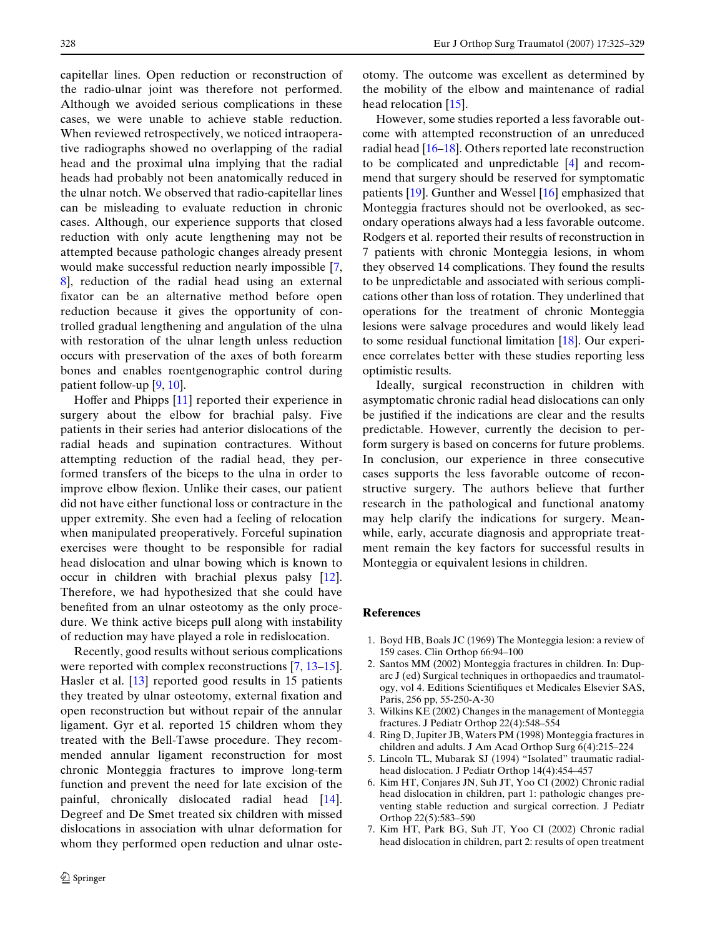capitellar lines. Open reduction or reconstruction of the radio-ulnar joint was therefore not performed. Although we avoided serious complications in these cases, we were unable to achieve stable reduction. When reviewed retrospectively, we noticed intraoperative radiographs showed no overlapping of the radial head and the proximal ulna implying that the radial heads had probably not been anatomically reduced in the ulnar notch. We observed that radio-capitellar lines can be misleading to evaluate reduction in chronic cases. Although, our experience supports that closed reduction with only acute lengthening may not be attempted because pathologic changes already present would make successful reduction nearly impossible [[7,](#page-3-5) [8](#page-4-0)], reduction of the radial head using an external fixator can be an alternative method before open reduction because it gives the opportunity of controlled gradual lengthening and angulation of the ulna with restoration of the ulnar length unless reduction occurs with preservation of the axes of both forearm bones and enables roentgenographic control during patient follow-up [[9,](#page-4-1) [10\]](#page-4-2).

Hoffer and Phipps  $[11]$  $[11]$  reported their experience in surgery about the elbow for brachial palsy. Five patients in their series had anterior dislocations of the radial heads and supination contractures. Without attempting reduction of the radial head, they performed transfers of the biceps to the ulna in order to improve elbow flexion. Unlike their cases, our patient did not have either functional loss or contracture in the upper extremity. She even had a feeling of relocation when manipulated preoperatively. Forceful supination exercises were thought to be responsible for radial head dislocation and ulnar bowing which is known to occur in children with brachial plexus palsy [\[12](#page-4-4)]. Therefore, we had hypothesized that she could have benefited from an ulnar osteotomy as the only procedure. We think active biceps pull along with instability of reduction may have played a role in redislocation.

Recently, good results without serious complications were reported with complex reconstructions  $[7, 13-15]$  $[7, 13-15]$  $[7, 13-15]$  $[7, 13-15]$ . Hasler et al. [\[13](#page-4-5)] reported good results in 15 patients they treated by ulnar osteotomy, external fixation and open reconstruction but without repair of the annular ligament. Gyr et al. reported 15 children whom they treated with the Bell-Tawse procedure. They recommended annular ligament reconstruction for most chronic Monteggia fractures to improve long-term function and prevent the need for late excision of the painful, chronically dislocated radial head [\[14](#page-4-7)]. Degreef and De Smet treated six children with missed dislocations in association with ulnar deformation for whom they performed open reduction and ulnar osteotomy. The outcome was excellent as determined by the mobility of the elbow and maintenance of radial head relocation [[15\]](#page-4-6).

However, some studies reported a less favorable outcome with attempted reconstruction of an unreduced radial head [[16–](#page-4-8)[18](#page-4-9)]. Others reported late reconstruction to be complicated and unpredictable [\[4](#page-3-2)] and recommend that surgery should be reserved for symptomatic patients [\[19](#page-4-10)]. Gunther and Wessel [\[16](#page-4-8)] emphasized that Monteggia fractures should not be overlooked, as secondary operations always had a less favorable outcome. Rodgers et al. reported their results of reconstruction in 7 patients with chronic Monteggia lesions, in whom they observed 14 complications. They found the results to be unpredictable and associated with serious complications other than loss of rotation. They underlined that operations for the treatment of chronic Monteggia lesions were salvage procedures and would likely lead to some residual functional limitation [[18\]](#page-4-9). Our experience correlates better with these studies reporting less optimistic results.

Ideally, surgical reconstruction in children with asymptomatic chronic radial head dislocations can only be justified if the indications are clear and the results predictable. However, currently the decision to perform surgery is based on concerns for future problems. In conclusion, our experience in three consecutive cases supports the less favorable outcome of reconstructive surgery. The authors believe that further research in the pathological and functional anatomy may help clarify the indications for surgery. Meanwhile, early, accurate diagnosis and appropriate treatment remain the key factors for successful results in Monteggia or equivalent lesions in children.

#### **References**

- <span id="page-3-0"></span>1. Boyd HB, Boals JC (1969) The Monteggia lesion: a review of 159 cases. Clin Orthop 66:94–100
- <span id="page-3-1"></span>2. Santos MM (2002) Monteggia fractures in children. In: Duparc J (ed) Surgical techniques in orthopaedics and traumatology, vol 4. Editions Scientifiques et Medicales Elsevier SAS, Paris, 256 pp, 55-250-A-30
- 3. Wilkins KE (2002) Changes in the management of Monteggia fractures. J Pediatr Orthop 22(4):548–554
- <span id="page-3-2"></span>4. Ring D, Jupiter JB, Waters PM (1998) Monteggia fractures in children and adults. J Am Acad Orthop Surg 6(4):215–224
- <span id="page-3-3"></span>5. Lincoln TL, Mubarak SJ (1994) "Isolated" traumatic radialhead dislocation. J Pediatr Orthop 14(4):454–457
- <span id="page-3-4"></span>6. Kim HT, Conjares JN, Suh JT, Yoo CI (2002) Chronic radial head dislocation in children, part 1: pathologic changes preventing stable reduction and surgical correction. J Pediatr Orthop 22(5):583–590
- <span id="page-3-5"></span>7. Kim HT, Park BG, Suh JT, Yoo CI (2002) Chronic radial head dislocation in children, part 2: results of open treatment